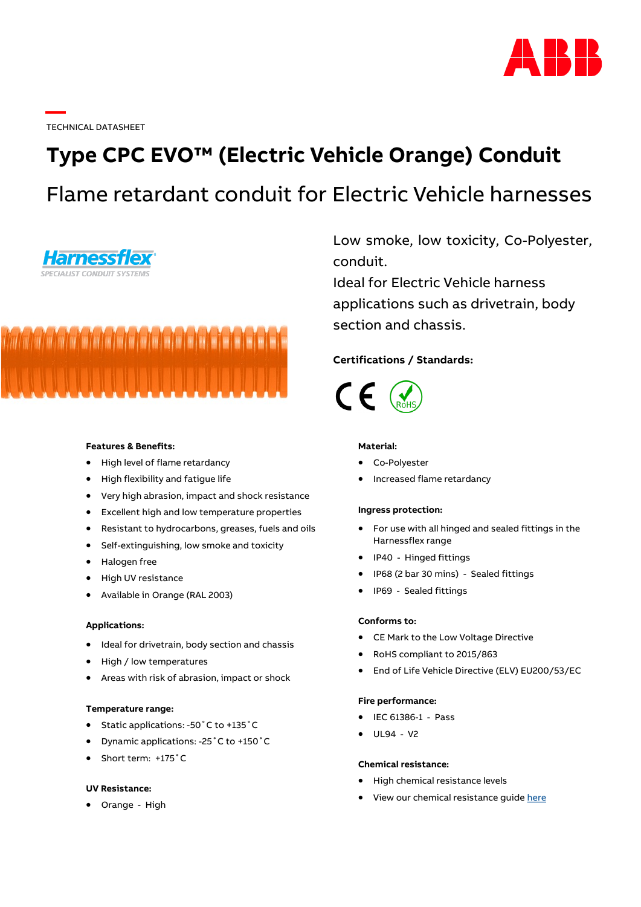

TECHNICAL DATASHEET

# **Type CPC EVO™ (Electric Vehicle Orange) Conduit** Flame retardant conduit for Electric Vehicle harnesses





## **Features & Benefits:**

- High level of flame retardancy
- High flexibility and fatigue life
- Very high abrasion, impact and shock resistance
- Excellent high and low temperature properties
- Resistant to hydrocarbons, greases, fuels and oils
- Self-extinguishing, low smoke and toxicity
- Halogen free
- High UV resistance
- Available in Orange (RAL 2003)

## **Applications:**

- Ideal for drivetrain, body section and chassis
- High / low temperatures
- Areas with risk of abrasion, impact or shock

## **Temperature range:**

- Static applications: -50˚C to +135˚C
- Dynamic applications: -25˚C to +150˚C
- Short term: +175°C

#### **UV Resistance:**

• Orange - High

Low smoke, low toxicity, Co-Polyester, conduit.

Ideal for Electric Vehicle harness applications such as drivetrain, body section and chassis.

## **Certifications / Standards:**



## **Material:**

- Co-Polyester
- Increased flame retardancy

#### **Ingress protection:**

- For use with all hinged and sealed fittings in the Harnessflex range
- IP40 Hinged fittings
- IP68 (2 bar 30 mins) Sealed fittings
- IP69 Sealed fittings

## **Conforms to:**

- CE Mark to the Low Voltage Directive
- RoHS compliant to 2015/863
- End of Life Vehicle Directive (ELV) EU200/53/EC

## **Fire performance:**

- IEC 61386-1 Pass
- UL94 V2

## **Chemical resistance:**

- High chemical resistance levels
- View our chemical resistance guide [here](https://search.abb.com/library/Download.aspx?DocumentID=7TKK001495&LanguageCode=en&DocumentPartId=&Action=Launch)